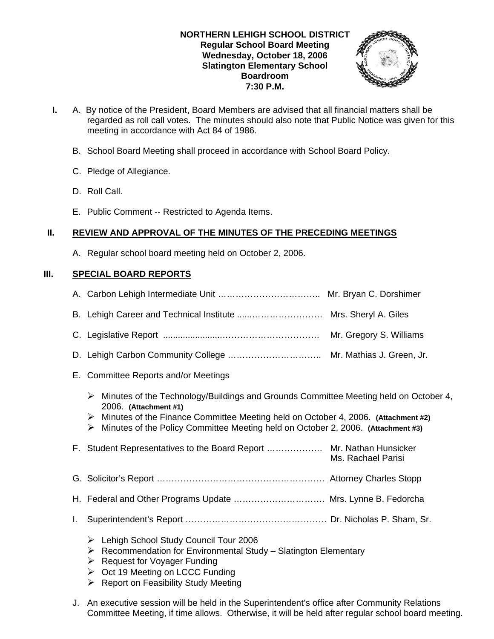## **NORTHERN LEHIGH SCHOOL DISTRICT Regular School Board Meeting Wednesday, October 18, 2006 Slatington Elementary School Boardroom 7:30 P.M.**



- **I.** A. By notice of the President, Board Members are advised that all financial matters shall be regarded as roll call votes. The minutes should also note that Public Notice was given for this meeting in accordance with Act 84 of 1986.
	- B. School Board Meeting shall proceed in accordance with School Board Policy.
	- C. Pledge of Allegiance.
	- D. Roll Call.
	- E. Public Comment -- Restricted to Agenda Items.

# **II. REVIEW AND APPROVAL OF THE MINUTES OF THE PRECEDING MEETINGS**

A. Regular school board meeting held on October 2, 2006.

# **III. SPECIAL BOARD REPORTS**

- E. Committee Reports and/or Meetings
	- $\triangleright$  Minutes of the Technology/Buildings and Grounds Committee Meeting held on October 4, 2006. **(Attachment #1)**
	- ¾ Minutes of the Finance Committee Meeting held on October 4, 2006. **(Attachment #2)**
	- ¾ Minutes of the Policy Committee Meeting held on October 2, 2006. **(Attachment #3)**

|  | Ms. Rachael Parisi |
|--|--------------------|
|  |                    |

- G. Solicitor's Report ………………………………………………… Attorney Charles Stopp
- H. Federal and Other Programs Update …………………………. Mrs. Lynne B. Fedorcha
- I. Superintendent's Report ………………………………………… Dr. Nicholas P. Sham, Sr.
	- ¾ Lehigh School Study Council Tour 2006
	- $\triangleright$  Recommendation for Environmental Study Slatington Elementary
	- $\triangleright$  Request for Voyager Funding
	- $\triangleright$  Oct 19 Meeting on LCCC Funding
	- $\triangleright$  Report on Feasibility Study Meeting
- J. An executive session will be held in the Superintendent's office after Community Relations Committee Meeting, if time allows. Otherwise, it will be held after regular school board meeting.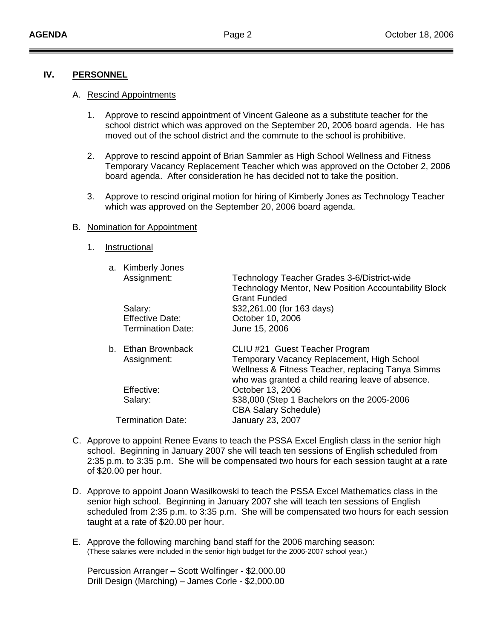#### **IV. PERSONNEL**

#### A. Rescind Appointments

- 1. Approve to rescind appointment of Vincent Galeone as a substitute teacher for the school district which was approved on the September 20, 2006 board agenda. He has moved out of the school district and the commute to the school is prohibitive.
- 2. Approve to rescind appoint of Brian Sammler as High School Wellness and Fitness Temporary Vacancy Replacement Teacher which was approved on the October 2, 2006 board agenda. After consideration he has decided not to take the position.
- 3. Approve to rescind original motion for hiring of Kimberly Jones as Technology Teacher which was approved on the September 20, 2006 board agenda.

#### B. Nomination for Appointment

1. Instructional

|  | a. Kimberly Jones        |                                                                                                            |
|--|--------------------------|------------------------------------------------------------------------------------------------------------|
|  | Assignment:              | Technology Teacher Grades 3-6/District-wide<br><b>Technology Mentor, New Position Accountability Block</b> |
|  |                          | <b>Grant Funded</b>                                                                                        |
|  | Salary:                  | \$32,261.00 (for 163 days)                                                                                 |
|  | <b>Effective Date:</b>   | October 10, 2006                                                                                           |
|  | <b>Termination Date:</b> | June 15, 2006                                                                                              |
|  | b. Ethan Brownback       | CLIU #21 Guest Teacher Program                                                                             |
|  | Assignment:              | Temporary Vacancy Replacement, High School                                                                 |
|  |                          | Wellness & Fitness Teacher, replacing Tanya Simms                                                          |
|  |                          | who was granted a child rearing leave of absence.                                                          |
|  | Effective:               | October 13, 2006                                                                                           |
|  | Salary:                  | \$38,000 (Step 1 Bachelors on the 2005-2006                                                                |
|  |                          | <b>CBA Salary Schedule)</b>                                                                                |
|  | <b>Termination Date:</b> | January 23, 2007                                                                                           |
|  |                          |                                                                                                            |

- C. Approve to appoint Renee Evans to teach the PSSA Excel English class in the senior high school. Beginning in January 2007 she will teach ten sessions of English scheduled from 2:35 p.m. to 3:35 p.m. She will be compensated two hours for each session taught at a rate of \$20.00 per hour.
- D. Approve to appoint Joann Wasilkowski to teach the PSSA Excel Mathematics class in the senior high school. Beginning in January 2007 she will teach ten sessions of English scheduled from 2:35 p.m. to 3:35 p.m. She will be compensated two hours for each session taught at a rate of \$20.00 per hour.
- E. Approve the following marching band staff for the 2006 marching season: (These salaries were included in the senior high budget for the 2006-2007 school year.)

 Percussion Arranger – Scott Wolfinger - \$2,000.00 Drill Design (Marching) – James Corle - \$2,000.00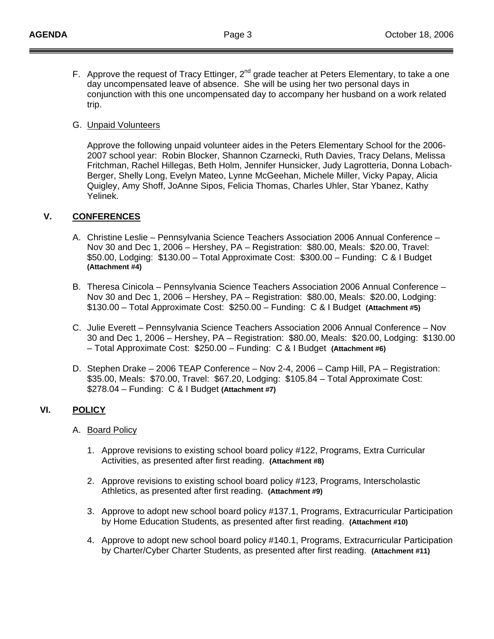F. Approve the request of Tracy Ettinger,  $2^{nd}$  grade teacher at Peters Elementary, to take a one day uncompensated leave of absence. She will be using her two personal days in conjunction with this one uncompensated day to accompany her husband on a work related trip.

#### G. Unpaid Volunteers

 Approve the following unpaid volunteer aides in the Peters Elementary School for the 2006- 2007 school year: Robin Blocker, Shannon Czarnecki, Ruth Davies, Tracy Delans, Melissa Fritchman, Rachel Hillegas, Beth Holm, Jennifer Hunsicker, Judy Lagrotteria, Donna Lobach- Berger, Shelly Long, Evelyn Mateo, Lynne McGeehan, Michele Miller, Vicky Papay, Alicia Quigley, Amy Shoff, JoAnne Sipos, Felicia Thomas, Charles Uhler, Star Ybanez, Kathy Yelinek.

## **V. CONFERENCES**

- A. Christine Leslie Pennsylvania Science Teachers Association 2006 Annual Conference Nov 30 and Dec 1, 2006 – Hershey, PA – Registration: \$80.00, Meals: \$20.00, Travel: \$50.00, Lodging: \$130.00 – Total Approximate Cost: \$300.00 – Funding: C & I Budget **(Attachment #4)**
- B. Theresa Cinicola Pennsylvania Science Teachers Association 2006 Annual Conference Nov 30 and Dec 1, 2006 – Hershey, PA – Registration: \$80.00, Meals: \$20.00, Lodging: \$130.00 – Total Approximate Cost: \$250.00 – Funding: C & I Budget **(Attachment #5)**
- C. Julie Everett Pennsylvania Science Teachers Association 2006 Annual Conference Nov 30 and Dec 1, 2006 – Hershey, PA – Registration: \$80.00, Meals: \$20.00, Lodging: \$130.00 – Total Approximate Cost: \$250.00 – Funding: C & I Budget **(Attachment #6)**
- D. Stephen Drake 2006 TEAP Conference Nov 2-4, 2006 Camp Hill, PA Registration: \$35.00, Meals: \$70.00, Travel: \$67.20, Lodging: \$105.84 – Total Approximate Cost: \$278.04 – Funding: C & I Budget **(Attachment #7)**

## **VI. POLICY**

#### A. Board Policy

- 1. Approve revisions to existing school board policy #122, Programs, Extra Curricular Activities, as presented after first reading. **(Attachment #8)**
- 2. Approve revisions to existing school board policy #123, Programs, Interscholastic Athletics, as presented after first reading. **(Attachment #9)**
- 3. Approve to adopt new school board policy #137.1, Programs, Extracurricular Participation by Home Education Students, as presented after first reading. **(Attachment #10)**
- 4. Approve to adopt new school board policy #140.1, Programs, Extracurricular Participation by Charter/Cyber Charter Students, as presented after first reading. **(Attachment #11)**